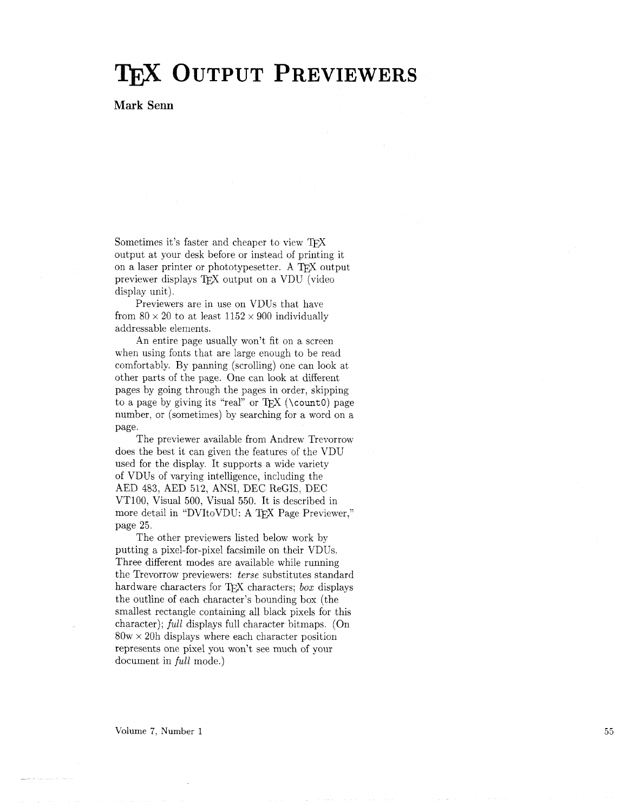## TEX OUTPUT PREVIEWERS

## **Mark Senn**

Sometimes it's faster and cheaper to view TFX output at your desk before or instead of printing it on a laser printer or phototypesetter. A TFX output previewer displays T<sub>F</sub>X output on a VDU (video display unit).

Previewers are in use on VDUs that have from  $80 \times 20$  to at least  $1152 \times 900$  individually addressable elements.

An entire page usually won't fit on a screen when using fonts that are large enough to be read comfortably. By panning (scrolling) one can look at other parts of the page. One can look at different pages by going through the pages in order, skipping to a page by giving its "real" or T<sub>E</sub>X (\count0) page number, or (sometimes) by searching for a word on a page.

The previewer available from Andrew Trevorrow does the best it can given the features of the VDU used for the display. It supports a wide variety of VDUs of varying intelligence, including the AED 483, AED 512, ANSI, DEC ReGIS, DEC VT100, Visual 500, Visual 550. It is described in more detail in "DVItoVDU: A TEX Page Previewer," page 25.

The other previewers listed below work by putting a pixel-for-pixel facsimile on their VDUs. Three different modes are available while running the Trevorrow previewers: terse substitutes standard hardware characters for T<sub>F</sub>X characters; *box* displays the outline of each character's bounding box (the smallest rectangle containing all black pixels for this character); full displays full character bitmaps. (On  $80w \times 20h$  displays where each character position represents one pixel you won't see much of your document in *full* mode.)